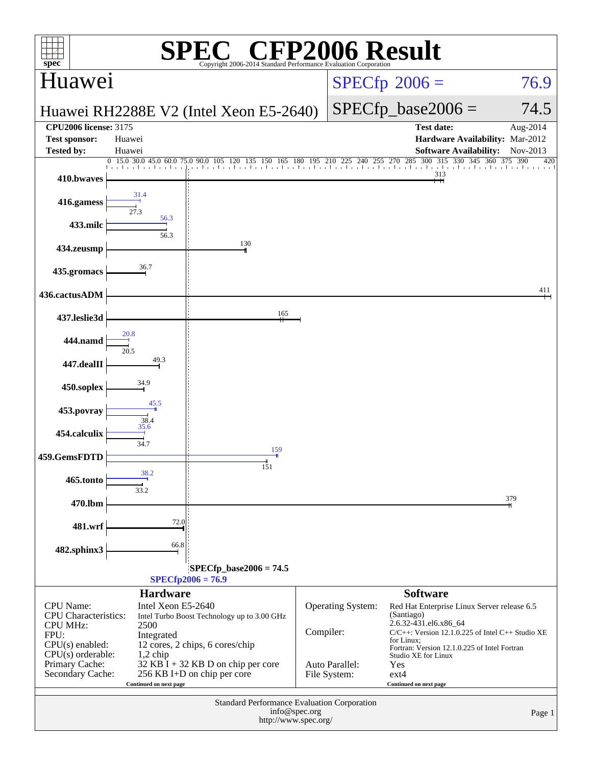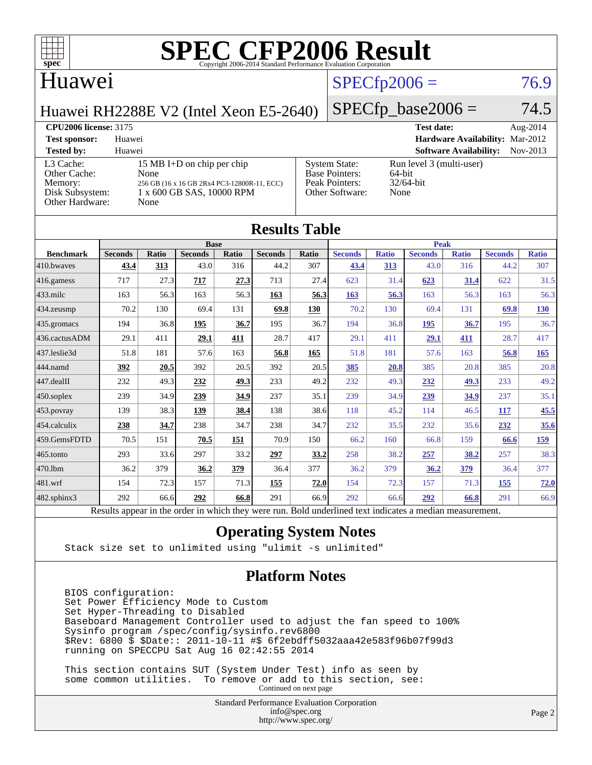

#### Huawei

### $SPECfp2006 = 76.9$  $SPECfp2006 = 76.9$

Huawei RH2288E V2 (Intel Xeon E5-2640)

 $SPECfp\_base2006 = 74.5$ 

#### **[CPU2006 license:](http://www.spec.org/auto/cpu2006/Docs/result-fields.html#CPU2006license)** 3175 **[Test date:](http://www.spec.org/auto/cpu2006/Docs/result-fields.html#Testdate)** Aug-2014 **[Test sponsor:](http://www.spec.org/auto/cpu2006/Docs/result-fields.html#Testsponsor)** Huawei **[Hardware Availability:](http://www.spec.org/auto/cpu2006/Docs/result-fields.html#HardwareAvailability)** Mar-2012 **[Tested by:](http://www.spec.org/auto/cpu2006/Docs/result-fields.html#Testedby)** Huawei **[Software Availability:](http://www.spec.org/auto/cpu2006/Docs/result-fields.html#SoftwareAvailability)** Nov-2013 [L3 Cache:](http://www.spec.org/auto/cpu2006/Docs/result-fields.html#L3Cache) 15 MB I+D on chip per chip<br>Other Cache: None [Other Cache:](http://www.spec.org/auto/cpu2006/Docs/result-fields.html#OtherCache) [Memory:](http://www.spec.org/auto/cpu2006/Docs/result-fields.html#Memory) 256 GB (16 x 16 GB 2Rx4 PC3-12800R-11, ECC) [Disk Subsystem:](http://www.spec.org/auto/cpu2006/Docs/result-fields.html#DiskSubsystem) 1 x 600 GB SAS, 10000 RPM [Other Hardware:](http://www.spec.org/auto/cpu2006/Docs/result-fields.html#OtherHardware) None [System State:](http://www.spec.org/auto/cpu2006/Docs/result-fields.html#SystemState) Run level 3 (multi-user)<br>Base Pointers: 64-bit [Base Pointers:](http://www.spec.org/auto/cpu2006/Docs/result-fields.html#BasePointers) [Peak Pointers:](http://www.spec.org/auto/cpu2006/Docs/result-fields.html#PeakPointers) 32/64-bit [Other Software:](http://www.spec.org/auto/cpu2006/Docs/result-fields.html#OtherSoftware) None

| <b>Results Table</b> |                                                                                                          |       |                |       |                |            |                |              |                |              |                |              |
|----------------------|----------------------------------------------------------------------------------------------------------|-------|----------------|-------|----------------|------------|----------------|--------------|----------------|--------------|----------------|--------------|
|                      | <b>Base</b>                                                                                              |       |                |       |                |            | <b>Peak</b>    |              |                |              |                |              |
| <b>Benchmark</b>     | <b>Seconds</b>                                                                                           | Ratio | <b>Seconds</b> | Ratio | <b>Seconds</b> | Ratio      | <b>Seconds</b> | <b>Ratio</b> | <b>Seconds</b> | <b>Ratio</b> | <b>Seconds</b> | <b>Ratio</b> |
| 410.bwayes           | 43.4                                                                                                     | 313   | 43.0           | 316   | 44.2           | 307        | 43.4           | 313          | 43.0           | 316          | 44.2           | 307          |
| 416.gamess           | 717                                                                                                      | 27.3  | 717            | 27.3  | 713            | 27.4       | 623            | 31.4         | 623            | 31.4         | 622            | 31.5         |
| 433.milc             | 163                                                                                                      | 56.3  | 163            | 56.3  | 163            | 56.3       | 163            | 56.3         | 163            | 56.3         | 163            | 56.3         |
| 434.zeusmp           | 70.2                                                                                                     | 130   | 69.4           | 131   | 69.8           | <b>130</b> | 70.2           | 130          | 69.4           | 131          | 69.8           | <u>130</u>   |
| 435 gromacs          | 194                                                                                                      | 36.8  | <u>195</u>     | 36.7  | 195            | 36.7       | 194            | 36.8         | 195            | 36.7         | 195            | 36.7         |
| 436.cactusADM        | 29.1                                                                                                     | 411   | 29.1           | 411   | 28.7           | 417        | 29.1           | 411          | 29.1           | 411          | 28.7           | 417          |
| 437.leslie3d         | 51.8                                                                                                     | 181   | 57.6           | 163   | 56.8           | 165        | 51.8           | 181          | 57.6           | 163          | 56.8           | 165          |
| 444.namd             | 392                                                                                                      | 20.5  | 392            | 20.5  | 392            | 20.5       | 385            | 20.8         | 385            | 20.8         | 385            | 20.8         |
| 447.dealII           | 232                                                                                                      | 49.3  | 232            | 49.3  | 233            | 49.2       | 232            | 49.3         | 232            | 49.3         | 233            | 49.2         |
| $450$ .soplex        | 239                                                                                                      | 34.9  | 239            | 34.9  | 237            | 35.1       | 239            | 34.9         | 239            | 34.9         | 237            | 35.1         |
| 453.povray           | 139                                                                                                      | 38.3  | 139            | 38.4  | 138            | 38.6       | 118            | 45.2         | 114            | 46.5         | 117            | 45.5         |
| 454.calculix         | 238                                                                                                      | 34.7  | 238            | 34.7  | 238            | 34.7       | 232            | 35.5         | 232            | 35.6         | 232            | 35.6         |
| 459.GemsFDTD         | 70.5                                                                                                     | 151   | 70.5           | 151   | 70.9           | 150        | 66.2           | 160          | 66.8           | 159          | 66.6           | <u>159</u>   |
| 465.tonto            | 293                                                                                                      | 33.6  | 297            | 33.2  | 297            | 33.2       | 258            | 38.2         | 257            | 38.2         | 257            | 38.3         |
| 470.1bm              | 36.2                                                                                                     | 379   | 36.2           | 379   | 36.4           | 377        | 36.2           | 379          | 36.2           | <u>379</u>   | 36.4           | 377          |
| 481.wrf              | 154                                                                                                      | 72.3  | 157            | 71.3  | 155            | 72.0       | 154            | 72.3         | 157            | 71.3         | 155            | 72.0         |
| $482$ .sphinx $3$    | 292                                                                                                      | 66.6  | 292            | 66.8  | 291            | 66.9       | 292            | 66.6         | 292            | 66.8         | 291            | 66.9         |
|                      | Results appear in the order in which they were run. Bold underlined text indicates a median measurement. |       |                |       |                |            |                |              |                |              |                |              |

#### **[Operating System Notes](http://www.spec.org/auto/cpu2006/Docs/result-fields.html#OperatingSystemNotes)**

Stack size set to unlimited using "ulimit -s unlimited"

#### **[Platform Notes](http://www.spec.org/auto/cpu2006/Docs/result-fields.html#PlatformNotes)**

 BIOS configuration: Set Power Efficiency Mode to Custom Set Hyper-Threading to Disabled Baseboard Management Controller used to adjust the fan speed to 100% Sysinfo program /spec/config/sysinfo.rev6800 \$Rev: 6800 \$ \$Date:: 2011-10-11 #\$ 6f2ebdff5032aaa42e583f96b07f99d3 running on SPECCPU Sat Aug 16 02:42:55 2014

 This section contains SUT (System Under Test) info as seen by some common utilities. To remove or add to this section, see: Continued on next page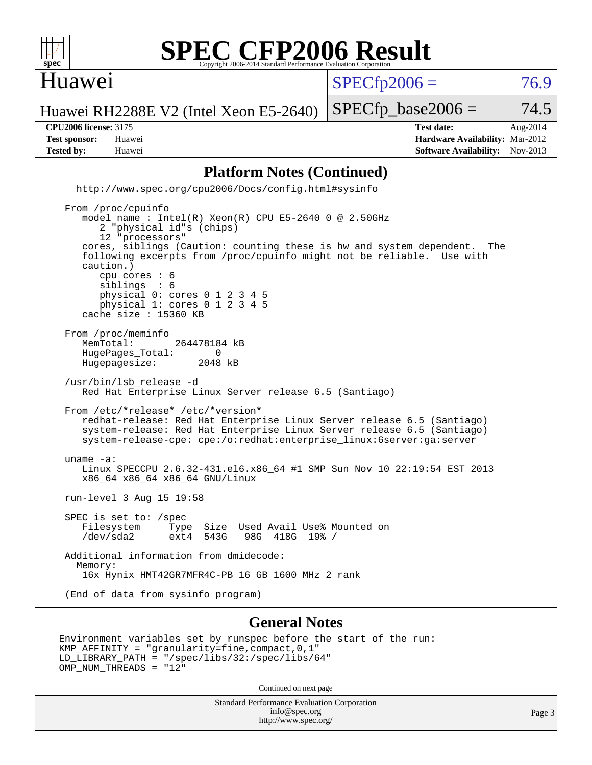

#### Huawei

 $SPECTp2006 = 76.9$ 

Huawei RH2288E V2 (Intel Xeon E5-2640)

 $SPECTp\_base2006 = 74.5$ 

**[CPU2006 license:](http://www.spec.org/auto/cpu2006/Docs/result-fields.html#CPU2006license)** 3175 **[Test date:](http://www.spec.org/auto/cpu2006/Docs/result-fields.html#Testdate)** Aug-2014 **[Test sponsor:](http://www.spec.org/auto/cpu2006/Docs/result-fields.html#Testsponsor)** Huawei **[Hardware Availability:](http://www.spec.org/auto/cpu2006/Docs/result-fields.html#HardwareAvailability)** Mar-2012 **[Tested by:](http://www.spec.org/auto/cpu2006/Docs/result-fields.html#Testedby)** Huawei **[Software Availability:](http://www.spec.org/auto/cpu2006/Docs/result-fields.html#SoftwareAvailability)** Nov-2013

#### **[Platform Notes \(Continued\)](http://www.spec.org/auto/cpu2006/Docs/result-fields.html#PlatformNotes)**

 <http://www.spec.org/cpu2006/Docs/config.html#sysinfo> From /proc/cpuinfo model name : Intel(R) Xeon(R) CPU E5-2640 0 @ 2.50GHz 2 "physical id"s (chips)

 12 "processors" cores, siblings (Caution: counting these is hw and system dependent. The following excerpts from /proc/cpuinfo might not be reliable. Use with caution.) cpu cores : 6<br>siblings : 6 siblings physical 0: cores 0 1 2 3 4 5 physical 1: cores 0 1 2 3 4 5 cache size : 15360 KB From /proc/meminfo<br>MemTotal: 264478184 kB HugePages\_Total: 0<br>Hugepagesize: 2048 kB Hugepagesize: /usr/bin/lsb\_release -d Red Hat Enterprise Linux Server release 6.5 (Santiago) From /etc/\*release\* /etc/\*version\* redhat-release: Red Hat Enterprise Linux Server release 6.5 (Santiago) system-release: Red Hat Enterprise Linux Server release 6.5 (Santiago) system-release-cpe: cpe:/o:redhat:enterprise\_linux:6server:ga:server uname -a: Linux SPECCPU 2.6.32-431.el6.x86\_64 #1 SMP Sun Nov 10 22:19:54 EST 2013 x86\_64 x86\_64 x86\_64 GNU/Linux run-level 3 Aug 15 19:58 SPEC is set to: /spec Filesystem Type Size Used Avail Use% Mounted on /dev/sda2 ext4 543G 98G 418G 19% / Additional information from dmidecode: Memory: 16x Hynix HMT42GR7MFR4C-PB 16 GB 1600 MHz 2 rank

(End of data from sysinfo program)

#### **[General Notes](http://www.spec.org/auto/cpu2006/Docs/result-fields.html#GeneralNotes)**

```
Environment variables set by runspec before the start of the run:
KMP_AFFINITY = "granularity=fine,compact,0,1"
LD_LIBRARY_PATH = "/spec/libs/32:/spec/libs/64"
OMP NUM THREADS = "12"
```
Continued on next page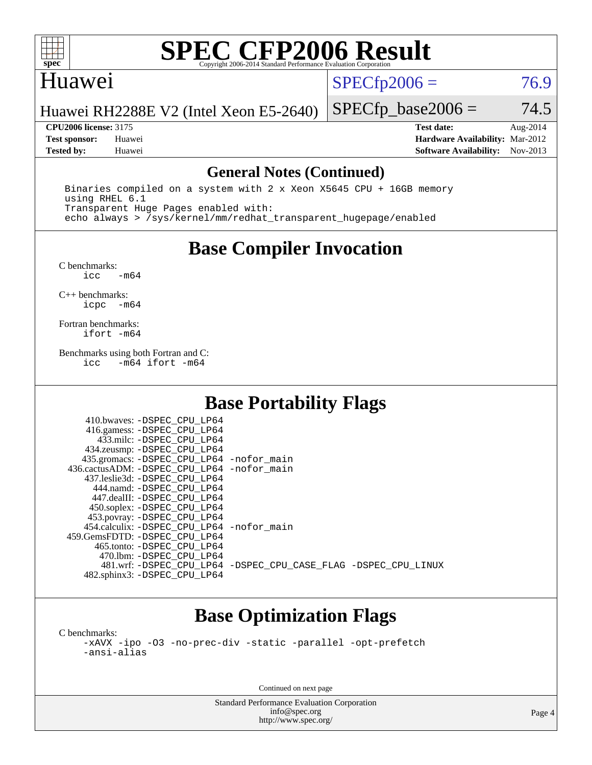

#### Huawei

 $SPECfp2006 = 76.9$  $SPECfp2006 = 76.9$ 

Huawei RH2288E V2 (Intel Xeon E5-2640)

**[CPU2006 license:](http://www.spec.org/auto/cpu2006/Docs/result-fields.html#CPU2006license)** 3175 **[Test date:](http://www.spec.org/auto/cpu2006/Docs/result-fields.html#Testdate)** Aug-2014 **[Test sponsor:](http://www.spec.org/auto/cpu2006/Docs/result-fields.html#Testsponsor)** Huawei **[Hardware Availability:](http://www.spec.org/auto/cpu2006/Docs/result-fields.html#HardwareAvailability)** Mar-2012 **[Tested by:](http://www.spec.org/auto/cpu2006/Docs/result-fields.html#Testedby)** Huawei **[Software Availability:](http://www.spec.org/auto/cpu2006/Docs/result-fields.html#SoftwareAvailability)** Nov-2013

 $SPECTp\_base2006 = 74.5$ 

#### **[General Notes \(Continued\)](http://www.spec.org/auto/cpu2006/Docs/result-fields.html#GeneralNotes)**

 Binaries compiled on a system with 2 x Xeon X5645 CPU + 16GB memory using RHEL 6.1 Transparent Huge Pages enabled with: echo always > /sys/kernel/mm/redhat\_transparent\_hugepage/enabled

### **[Base Compiler Invocation](http://www.spec.org/auto/cpu2006/Docs/result-fields.html#BaseCompilerInvocation)**

 $C$  benchmarks:<br>icc  $-m64$ 

[C++ benchmarks:](http://www.spec.org/auto/cpu2006/Docs/result-fields.html#CXXbenchmarks) [icpc -m64](http://www.spec.org/cpu2006/results/res2014q3/cpu2006-20140826-31038.flags.html#user_CXXbase_intel_icpc_64bit_bedb90c1146cab66620883ef4f41a67e)

[Fortran benchmarks](http://www.spec.org/auto/cpu2006/Docs/result-fields.html#Fortranbenchmarks): [ifort -m64](http://www.spec.org/cpu2006/results/res2014q3/cpu2006-20140826-31038.flags.html#user_FCbase_intel_ifort_64bit_ee9d0fb25645d0210d97eb0527dcc06e)

[Benchmarks using both Fortran and C](http://www.spec.org/auto/cpu2006/Docs/result-fields.html#BenchmarksusingbothFortranandC): [icc -m64](http://www.spec.org/cpu2006/results/res2014q3/cpu2006-20140826-31038.flags.html#user_CC_FCbase_intel_icc_64bit_0b7121f5ab7cfabee23d88897260401c) [ifort -m64](http://www.spec.org/cpu2006/results/res2014q3/cpu2006-20140826-31038.flags.html#user_CC_FCbase_intel_ifort_64bit_ee9d0fb25645d0210d97eb0527dcc06e)

### **[Base Portability Flags](http://www.spec.org/auto/cpu2006/Docs/result-fields.html#BasePortabilityFlags)**

| 435.gromacs: -DSPEC_CPU_LP64 -nofor_main                       |
|----------------------------------------------------------------|
| 436.cactusADM: - DSPEC CPU LP64 - nofor main                   |
|                                                                |
|                                                                |
|                                                                |
|                                                                |
|                                                                |
| 454.calculix: - DSPEC CPU LP64 - nofor main                    |
|                                                                |
|                                                                |
|                                                                |
| 481.wrf: -DSPEC CPU_LP64 -DSPEC_CPU_CASE_FLAG -DSPEC_CPU_LINUX |
|                                                                |
|                                                                |

### **[Base Optimization Flags](http://www.spec.org/auto/cpu2006/Docs/result-fields.html#BaseOptimizationFlags)**

[C benchmarks](http://www.spec.org/auto/cpu2006/Docs/result-fields.html#Cbenchmarks): [-xAVX](http://www.spec.org/cpu2006/results/res2014q3/cpu2006-20140826-31038.flags.html#user_CCbase_f-xAVX) [-ipo](http://www.spec.org/cpu2006/results/res2014q3/cpu2006-20140826-31038.flags.html#user_CCbase_f-ipo) [-O3](http://www.spec.org/cpu2006/results/res2014q3/cpu2006-20140826-31038.flags.html#user_CCbase_f-O3) [-no-prec-div](http://www.spec.org/cpu2006/results/res2014q3/cpu2006-20140826-31038.flags.html#user_CCbase_f-no-prec-div) [-static](http://www.spec.org/cpu2006/results/res2014q3/cpu2006-20140826-31038.flags.html#user_CCbase_f-static) [-parallel](http://www.spec.org/cpu2006/results/res2014q3/cpu2006-20140826-31038.flags.html#user_CCbase_f-parallel) [-opt-prefetch](http://www.spec.org/cpu2006/results/res2014q3/cpu2006-20140826-31038.flags.html#user_CCbase_f-opt-prefetch) [-ansi-alias](http://www.spec.org/cpu2006/results/res2014q3/cpu2006-20140826-31038.flags.html#user_CCbase_f-ansi-alias)

Continued on next page

Standard Performance Evaluation Corporation [info@spec.org](mailto:info@spec.org) <http://www.spec.org/>

Page 4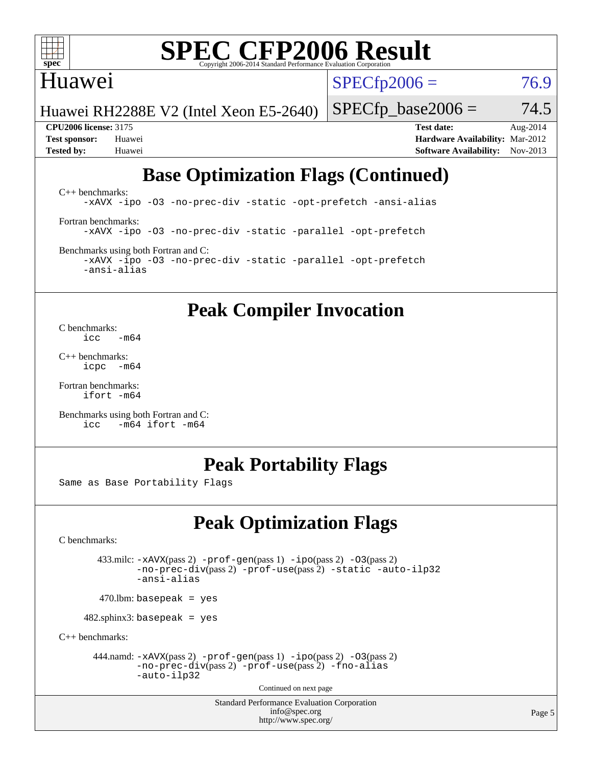

#### Huawei

 $SPECTp2006 = 76.9$ 

Huawei RH2288E V2 (Intel Xeon E5-2640)

 $SPECTp\_base2006 = 74.5$ 

**[CPU2006 license:](http://www.spec.org/auto/cpu2006/Docs/result-fields.html#CPU2006license)** 3175 **[Test date:](http://www.spec.org/auto/cpu2006/Docs/result-fields.html#Testdate)** Aug-2014 **[Test sponsor:](http://www.spec.org/auto/cpu2006/Docs/result-fields.html#Testsponsor)** Huawei **[Hardware Availability:](http://www.spec.org/auto/cpu2006/Docs/result-fields.html#HardwareAvailability)** Mar-2012 **[Tested by:](http://www.spec.org/auto/cpu2006/Docs/result-fields.html#Testedby)** Huawei **[Software Availability:](http://www.spec.org/auto/cpu2006/Docs/result-fields.html#SoftwareAvailability)** Nov-2013

### **[Base Optimization Flags \(Continued\)](http://www.spec.org/auto/cpu2006/Docs/result-fields.html#BaseOptimizationFlags)**

[C++ benchmarks:](http://www.spec.org/auto/cpu2006/Docs/result-fields.html#CXXbenchmarks) [-xAVX](http://www.spec.org/cpu2006/results/res2014q3/cpu2006-20140826-31038.flags.html#user_CXXbase_f-xAVX) [-ipo](http://www.spec.org/cpu2006/results/res2014q3/cpu2006-20140826-31038.flags.html#user_CXXbase_f-ipo) [-O3](http://www.spec.org/cpu2006/results/res2014q3/cpu2006-20140826-31038.flags.html#user_CXXbase_f-O3) [-no-prec-div](http://www.spec.org/cpu2006/results/res2014q3/cpu2006-20140826-31038.flags.html#user_CXXbase_f-no-prec-div) [-static](http://www.spec.org/cpu2006/results/res2014q3/cpu2006-20140826-31038.flags.html#user_CXXbase_f-static) [-opt-prefetch](http://www.spec.org/cpu2006/results/res2014q3/cpu2006-20140826-31038.flags.html#user_CXXbase_f-opt-prefetch) [-ansi-alias](http://www.spec.org/cpu2006/results/res2014q3/cpu2006-20140826-31038.flags.html#user_CXXbase_f-ansi-alias) [Fortran benchmarks](http://www.spec.org/auto/cpu2006/Docs/result-fields.html#Fortranbenchmarks): [-xAVX](http://www.spec.org/cpu2006/results/res2014q3/cpu2006-20140826-31038.flags.html#user_FCbase_f-xAVX) [-ipo](http://www.spec.org/cpu2006/results/res2014q3/cpu2006-20140826-31038.flags.html#user_FCbase_f-ipo) [-O3](http://www.spec.org/cpu2006/results/res2014q3/cpu2006-20140826-31038.flags.html#user_FCbase_f-O3) [-no-prec-div](http://www.spec.org/cpu2006/results/res2014q3/cpu2006-20140826-31038.flags.html#user_FCbase_f-no-prec-div) [-static](http://www.spec.org/cpu2006/results/res2014q3/cpu2006-20140826-31038.flags.html#user_FCbase_f-static) [-parallel](http://www.spec.org/cpu2006/results/res2014q3/cpu2006-20140826-31038.flags.html#user_FCbase_f-parallel) [-opt-prefetch](http://www.spec.org/cpu2006/results/res2014q3/cpu2006-20140826-31038.flags.html#user_FCbase_f-opt-prefetch) [Benchmarks using both Fortran and C](http://www.spec.org/auto/cpu2006/Docs/result-fields.html#BenchmarksusingbothFortranandC):

[-xAVX](http://www.spec.org/cpu2006/results/res2014q3/cpu2006-20140826-31038.flags.html#user_CC_FCbase_f-xAVX) [-ipo](http://www.spec.org/cpu2006/results/res2014q3/cpu2006-20140826-31038.flags.html#user_CC_FCbase_f-ipo) [-O3](http://www.spec.org/cpu2006/results/res2014q3/cpu2006-20140826-31038.flags.html#user_CC_FCbase_f-O3) [-no-prec-div](http://www.spec.org/cpu2006/results/res2014q3/cpu2006-20140826-31038.flags.html#user_CC_FCbase_f-no-prec-div) [-static](http://www.spec.org/cpu2006/results/res2014q3/cpu2006-20140826-31038.flags.html#user_CC_FCbase_f-static) [-parallel](http://www.spec.org/cpu2006/results/res2014q3/cpu2006-20140826-31038.flags.html#user_CC_FCbase_f-parallel) [-opt-prefetch](http://www.spec.org/cpu2006/results/res2014q3/cpu2006-20140826-31038.flags.html#user_CC_FCbase_f-opt-prefetch) [-ansi-alias](http://www.spec.org/cpu2006/results/res2014q3/cpu2006-20140826-31038.flags.html#user_CC_FCbase_f-ansi-alias)

### **[Peak Compiler Invocation](http://www.spec.org/auto/cpu2006/Docs/result-fields.html#PeakCompilerInvocation)**

[C benchmarks](http://www.spec.org/auto/cpu2006/Docs/result-fields.html#Cbenchmarks):  $\frac{1}{2}$ cc  $-\text{m64}$ 

[C++ benchmarks:](http://www.spec.org/auto/cpu2006/Docs/result-fields.html#CXXbenchmarks) [icpc -m64](http://www.spec.org/cpu2006/results/res2014q3/cpu2006-20140826-31038.flags.html#user_CXXpeak_intel_icpc_64bit_bedb90c1146cab66620883ef4f41a67e)

[Fortran benchmarks](http://www.spec.org/auto/cpu2006/Docs/result-fields.html#Fortranbenchmarks): [ifort -m64](http://www.spec.org/cpu2006/results/res2014q3/cpu2006-20140826-31038.flags.html#user_FCpeak_intel_ifort_64bit_ee9d0fb25645d0210d97eb0527dcc06e)

[Benchmarks using both Fortran and C](http://www.spec.org/auto/cpu2006/Docs/result-fields.html#BenchmarksusingbothFortranandC): [icc -m64](http://www.spec.org/cpu2006/results/res2014q3/cpu2006-20140826-31038.flags.html#user_CC_FCpeak_intel_icc_64bit_0b7121f5ab7cfabee23d88897260401c) [ifort -m64](http://www.spec.org/cpu2006/results/res2014q3/cpu2006-20140826-31038.flags.html#user_CC_FCpeak_intel_ifort_64bit_ee9d0fb25645d0210d97eb0527dcc06e)

#### **[Peak Portability Flags](http://www.spec.org/auto/cpu2006/Docs/result-fields.html#PeakPortabilityFlags)**

Same as Base Portability Flags

### **[Peak Optimization Flags](http://www.spec.org/auto/cpu2006/Docs/result-fields.html#PeakOptimizationFlags)**

[C benchmarks](http://www.spec.org/auto/cpu2006/Docs/result-fields.html#Cbenchmarks):

 433.milc: [-xAVX](http://www.spec.org/cpu2006/results/res2014q3/cpu2006-20140826-31038.flags.html#user_peakPASS2_CFLAGSPASS2_LDFLAGS433_milc_f-xAVX)(pass 2) [-prof-gen](http://www.spec.org/cpu2006/results/res2014q3/cpu2006-20140826-31038.flags.html#user_peakPASS1_CFLAGSPASS1_LDFLAGS433_milc_prof_gen_e43856698f6ca7b7e442dfd80e94a8fc)(pass 1) [-ipo](http://www.spec.org/cpu2006/results/res2014q3/cpu2006-20140826-31038.flags.html#user_peakPASS2_CFLAGSPASS2_LDFLAGS433_milc_f-ipo)(pass 2) [-O3](http://www.spec.org/cpu2006/results/res2014q3/cpu2006-20140826-31038.flags.html#user_peakPASS2_CFLAGSPASS2_LDFLAGS433_milc_f-O3)(pass 2) [-no-prec-div](http://www.spec.org/cpu2006/results/res2014q3/cpu2006-20140826-31038.flags.html#user_peakPASS2_CFLAGSPASS2_LDFLAGS433_milc_f-no-prec-div)(pass 2) [-prof-use](http://www.spec.org/cpu2006/results/res2014q3/cpu2006-20140826-31038.flags.html#user_peakPASS2_CFLAGSPASS2_LDFLAGS433_milc_prof_use_bccf7792157ff70d64e32fe3e1250b55)(pass 2) [-static](http://www.spec.org/cpu2006/results/res2014q3/cpu2006-20140826-31038.flags.html#user_peakOPTIMIZE433_milc_f-static) [-auto-ilp32](http://www.spec.org/cpu2006/results/res2014q3/cpu2006-20140826-31038.flags.html#user_peakCOPTIMIZE433_milc_f-auto-ilp32) [-ansi-alias](http://www.spec.org/cpu2006/results/res2014q3/cpu2006-20140826-31038.flags.html#user_peakCOPTIMIZE433_milc_f-ansi-alias)

 $470.$ lbm: basepeak = yes

482.sphinx3: basepeak = yes

[C++ benchmarks:](http://www.spec.org/auto/cpu2006/Docs/result-fields.html#CXXbenchmarks)

444.namd:  $-xAVX(pass 2)$  $-xAVX(pass 2)$  [-prof-gen](http://www.spec.org/cpu2006/results/res2014q3/cpu2006-20140826-31038.flags.html#user_peakPASS1_CXXFLAGSPASS1_LDFLAGS444_namd_prof_gen_e43856698f6ca7b7e442dfd80e94a8fc)(pass 1) [-ipo](http://www.spec.org/cpu2006/results/res2014q3/cpu2006-20140826-31038.flags.html#user_peakPASS2_CXXFLAGSPASS2_LDFLAGS444_namd_f-ipo)(pass 2) [-O3](http://www.spec.org/cpu2006/results/res2014q3/cpu2006-20140826-31038.flags.html#user_peakPASS2_CXXFLAGSPASS2_LDFLAGS444_namd_f-O3)(pass 2) [-no-prec-div](http://www.spec.org/cpu2006/results/res2014q3/cpu2006-20140826-31038.flags.html#user_peakPASS2_CXXFLAGSPASS2_LDFLAGS444_namd_f-no-prec-div)(pass 2) [-prof-use](http://www.spec.org/cpu2006/results/res2014q3/cpu2006-20140826-31038.flags.html#user_peakPASS2_CXXFLAGSPASS2_LDFLAGS444_namd_prof_use_bccf7792157ff70d64e32fe3e1250b55)(pass 2) [-fno-alias](http://www.spec.org/cpu2006/results/res2014q3/cpu2006-20140826-31038.flags.html#user_peakCXXOPTIMIZEOPTIMIZE444_namd_f-no-alias_694e77f6c5a51e658e82ccff53a9e63a) [-auto-ilp32](http://www.spec.org/cpu2006/results/res2014q3/cpu2006-20140826-31038.flags.html#user_peakCXXOPTIMIZE444_namd_f-auto-ilp32)

Continued on next page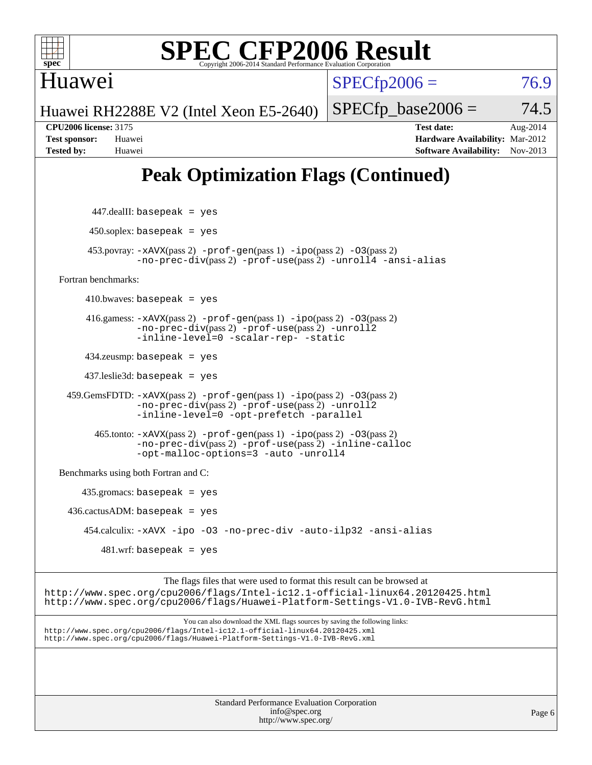

Huawei

# **[SPEC CFP2006 Result](http://www.spec.org/auto/cpu2006/Docs/result-fields.html#SPECCFP2006Result)**

 $SPECfp2006 = 76.9$  $SPECfp2006 = 76.9$ 

Huawei RH2288E V2 (Intel Xeon E5-2640)

 $SPECTp\_base2006 = 74.5$ 

**[CPU2006 license:](http://www.spec.org/auto/cpu2006/Docs/result-fields.html#CPU2006license)** 3175 **[Test date:](http://www.spec.org/auto/cpu2006/Docs/result-fields.html#Testdate)** Aug-2014 **[Test sponsor:](http://www.spec.org/auto/cpu2006/Docs/result-fields.html#Testsponsor)** Huawei **[Hardware Availability:](http://www.spec.org/auto/cpu2006/Docs/result-fields.html#HardwareAvailability)** Mar-2012 **[Tested by:](http://www.spec.org/auto/cpu2006/Docs/result-fields.html#Testedby)** Huawei **[Software Availability:](http://www.spec.org/auto/cpu2006/Docs/result-fields.html#SoftwareAvailability)** Nov-2013

## **[Peak Optimization Flags \(Continued\)](http://www.spec.org/auto/cpu2006/Docs/result-fields.html#PeakOptimizationFlags)**

 447.dealII: basepeak = yes  $450$ .soplex: basepeak = yes 453.povray: [-xAVX](http://www.spec.org/cpu2006/results/res2014q3/cpu2006-20140826-31038.flags.html#user_peakPASS2_CXXFLAGSPASS2_LDFLAGS453_povray_f-xAVX)(pass 2) [-prof-gen](http://www.spec.org/cpu2006/results/res2014q3/cpu2006-20140826-31038.flags.html#user_peakPASS1_CXXFLAGSPASS1_LDFLAGS453_povray_prof_gen_e43856698f6ca7b7e442dfd80e94a8fc)(pass 1) [-ipo](http://www.spec.org/cpu2006/results/res2014q3/cpu2006-20140826-31038.flags.html#user_peakPASS2_CXXFLAGSPASS2_LDFLAGS453_povray_f-ipo)(pass 2) [-O3](http://www.spec.org/cpu2006/results/res2014q3/cpu2006-20140826-31038.flags.html#user_peakPASS2_CXXFLAGSPASS2_LDFLAGS453_povray_f-O3)(pass 2) [-no-prec-div](http://www.spec.org/cpu2006/results/res2014q3/cpu2006-20140826-31038.flags.html#user_peakPASS2_CXXFLAGSPASS2_LDFLAGS453_povray_f-no-prec-div)(pass 2) [-prof-use](http://www.spec.org/cpu2006/results/res2014q3/cpu2006-20140826-31038.flags.html#user_peakPASS2_CXXFLAGSPASS2_LDFLAGS453_povray_prof_use_bccf7792157ff70d64e32fe3e1250b55)(pass 2) [-unroll4](http://www.spec.org/cpu2006/results/res2014q3/cpu2006-20140826-31038.flags.html#user_peakCXXOPTIMIZE453_povray_f-unroll_4e5e4ed65b7fd20bdcd365bec371b81f) [-ansi-alias](http://www.spec.org/cpu2006/results/res2014q3/cpu2006-20140826-31038.flags.html#user_peakCXXOPTIMIZE453_povray_f-ansi-alias) [Fortran benchmarks](http://www.spec.org/auto/cpu2006/Docs/result-fields.html#Fortranbenchmarks):  $410.bwaves: basepeak = yes$  416.gamess: [-xAVX](http://www.spec.org/cpu2006/results/res2014q3/cpu2006-20140826-31038.flags.html#user_peakPASS2_FFLAGSPASS2_LDFLAGS416_gamess_f-xAVX)(pass 2) [-prof-gen](http://www.spec.org/cpu2006/results/res2014q3/cpu2006-20140826-31038.flags.html#user_peakPASS1_FFLAGSPASS1_LDFLAGS416_gamess_prof_gen_e43856698f6ca7b7e442dfd80e94a8fc)(pass 1) [-ipo](http://www.spec.org/cpu2006/results/res2014q3/cpu2006-20140826-31038.flags.html#user_peakPASS2_FFLAGSPASS2_LDFLAGS416_gamess_f-ipo)(pass 2) [-O3](http://www.spec.org/cpu2006/results/res2014q3/cpu2006-20140826-31038.flags.html#user_peakPASS2_FFLAGSPASS2_LDFLAGS416_gamess_f-O3)(pass 2) [-no-prec-div](http://www.spec.org/cpu2006/results/res2014q3/cpu2006-20140826-31038.flags.html#user_peakPASS2_FFLAGSPASS2_LDFLAGS416_gamess_f-no-prec-div)(pass 2) [-prof-use](http://www.spec.org/cpu2006/results/res2014q3/cpu2006-20140826-31038.flags.html#user_peakPASS2_FFLAGSPASS2_LDFLAGS416_gamess_prof_use_bccf7792157ff70d64e32fe3e1250b55)(pass 2) [-unroll2](http://www.spec.org/cpu2006/results/res2014q3/cpu2006-20140826-31038.flags.html#user_peakOPTIMIZE416_gamess_f-unroll_784dae83bebfb236979b41d2422d7ec2) [-inline-level=0](http://www.spec.org/cpu2006/results/res2014q3/cpu2006-20140826-31038.flags.html#user_peakOPTIMIZE416_gamess_f-inline-level_318d07a09274ad25e8d15dbfaa68ba50) [-scalar-rep-](http://www.spec.org/cpu2006/results/res2014q3/cpu2006-20140826-31038.flags.html#user_peakOPTIMIZE416_gamess_f-disablescalarrep_abbcad04450fb118e4809c81d83c8a1d) [-static](http://www.spec.org/cpu2006/results/res2014q3/cpu2006-20140826-31038.flags.html#user_peakOPTIMIZE416_gamess_f-static) 434.zeusmp: basepeak = yes 437.leslie3d: basepeak = yes 459.GemsFDTD: [-xAVX](http://www.spec.org/cpu2006/results/res2014q3/cpu2006-20140826-31038.flags.html#user_peakPASS2_FFLAGSPASS2_LDFLAGS459_GemsFDTD_f-xAVX)(pass 2) [-prof-gen](http://www.spec.org/cpu2006/results/res2014q3/cpu2006-20140826-31038.flags.html#user_peakPASS1_FFLAGSPASS1_LDFLAGS459_GemsFDTD_prof_gen_e43856698f6ca7b7e442dfd80e94a8fc)(pass 1) [-ipo](http://www.spec.org/cpu2006/results/res2014q3/cpu2006-20140826-31038.flags.html#user_peakPASS2_FFLAGSPASS2_LDFLAGS459_GemsFDTD_f-ipo)(pass 2) [-O3](http://www.spec.org/cpu2006/results/res2014q3/cpu2006-20140826-31038.flags.html#user_peakPASS2_FFLAGSPASS2_LDFLAGS459_GemsFDTD_f-O3)(pass 2) [-no-prec-div](http://www.spec.org/cpu2006/results/res2014q3/cpu2006-20140826-31038.flags.html#user_peakPASS2_FFLAGSPASS2_LDFLAGS459_GemsFDTD_f-no-prec-div)(pass 2) [-prof-use](http://www.spec.org/cpu2006/results/res2014q3/cpu2006-20140826-31038.flags.html#user_peakPASS2_FFLAGSPASS2_LDFLAGS459_GemsFDTD_prof_use_bccf7792157ff70d64e32fe3e1250b55)(pass 2) [-unroll2](http://www.spec.org/cpu2006/results/res2014q3/cpu2006-20140826-31038.flags.html#user_peakOPTIMIZE459_GemsFDTD_f-unroll_784dae83bebfb236979b41d2422d7ec2) [-inline-level=0](http://www.spec.org/cpu2006/results/res2014q3/cpu2006-20140826-31038.flags.html#user_peakOPTIMIZE459_GemsFDTD_f-inline-level_318d07a09274ad25e8d15dbfaa68ba50) [-opt-prefetch](http://www.spec.org/cpu2006/results/res2014q3/cpu2006-20140826-31038.flags.html#user_peakOPTIMIZE459_GemsFDTD_f-opt-prefetch) [-parallel](http://www.spec.org/cpu2006/results/res2014q3/cpu2006-20140826-31038.flags.html#user_peakOPTIMIZE459_GemsFDTD_f-parallel) 465.tonto: [-xAVX](http://www.spec.org/cpu2006/results/res2014q3/cpu2006-20140826-31038.flags.html#user_peakPASS2_FFLAGSPASS2_LDFLAGS465_tonto_f-xAVX)(pass 2) [-prof-gen](http://www.spec.org/cpu2006/results/res2014q3/cpu2006-20140826-31038.flags.html#user_peakPASS1_FFLAGSPASS1_LDFLAGS465_tonto_prof_gen_e43856698f6ca7b7e442dfd80e94a8fc)(pass 1) [-ipo](http://www.spec.org/cpu2006/results/res2014q3/cpu2006-20140826-31038.flags.html#user_peakPASS2_FFLAGSPASS2_LDFLAGS465_tonto_f-ipo)(pass 2) [-O3](http://www.spec.org/cpu2006/results/res2014q3/cpu2006-20140826-31038.flags.html#user_peakPASS2_FFLAGSPASS2_LDFLAGS465_tonto_f-O3)(pass 2) [-no-prec-div](http://www.spec.org/cpu2006/results/res2014q3/cpu2006-20140826-31038.flags.html#user_peakPASS2_FFLAGSPASS2_LDFLAGS465_tonto_f-no-prec-div)(pass 2) [-prof-use](http://www.spec.org/cpu2006/results/res2014q3/cpu2006-20140826-31038.flags.html#user_peakPASS2_FFLAGSPASS2_LDFLAGS465_tonto_prof_use_bccf7792157ff70d64e32fe3e1250b55)(pass 2) [-inline-calloc](http://www.spec.org/cpu2006/results/res2014q3/cpu2006-20140826-31038.flags.html#user_peakOPTIMIZE465_tonto_f-inline-calloc) [-opt-malloc-options=3](http://www.spec.org/cpu2006/results/res2014q3/cpu2006-20140826-31038.flags.html#user_peakOPTIMIZE465_tonto_f-opt-malloc-options_13ab9b803cf986b4ee62f0a5998c2238) [-auto](http://www.spec.org/cpu2006/results/res2014q3/cpu2006-20140826-31038.flags.html#user_peakOPTIMIZE465_tonto_f-auto) [-unroll4](http://www.spec.org/cpu2006/results/res2014q3/cpu2006-20140826-31038.flags.html#user_peakOPTIMIZE465_tonto_f-unroll_4e5e4ed65b7fd20bdcd365bec371b81f) [Benchmarks using both Fortran and C](http://www.spec.org/auto/cpu2006/Docs/result-fields.html#BenchmarksusingbothFortranandC): 435.gromacs: basepeak = yes  $436.cactusADM: basepeak = yes$  454.calculix: [-xAVX](http://www.spec.org/cpu2006/results/res2014q3/cpu2006-20140826-31038.flags.html#user_peakOPTIMIZE454_calculix_f-xAVX) [-ipo](http://www.spec.org/cpu2006/results/res2014q3/cpu2006-20140826-31038.flags.html#user_peakOPTIMIZE454_calculix_f-ipo) [-O3](http://www.spec.org/cpu2006/results/res2014q3/cpu2006-20140826-31038.flags.html#user_peakOPTIMIZE454_calculix_f-O3) [-no-prec-div](http://www.spec.org/cpu2006/results/res2014q3/cpu2006-20140826-31038.flags.html#user_peakOPTIMIZE454_calculix_f-no-prec-div) [-auto-ilp32](http://www.spec.org/cpu2006/results/res2014q3/cpu2006-20140826-31038.flags.html#user_peakCOPTIMIZE454_calculix_f-auto-ilp32) [-ansi-alias](http://www.spec.org/cpu2006/results/res2014q3/cpu2006-20140826-31038.flags.html#user_peakCOPTIMIZE454_calculix_f-ansi-alias)  $481$ .wrf: basepeak = yes The flags files that were used to format this result can be browsed at <http://www.spec.org/cpu2006/flags/Intel-ic12.1-official-linux64.20120425.html> <http://www.spec.org/cpu2006/flags/Huawei-Platform-Settings-V1.0-IVB-RevG.html> You can also download the XML flags sources by saving the following links: <http://www.spec.org/cpu2006/flags/Intel-ic12.1-official-linux64.20120425.xml> <http://www.spec.org/cpu2006/flags/Huawei-Platform-Settings-V1.0-IVB-RevG.xml>